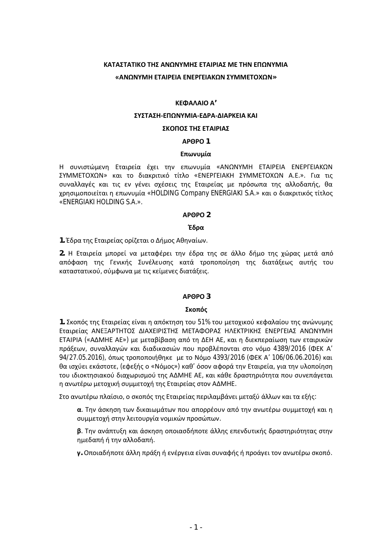# ΚΑΤΑΣΤΑΤΙΚΟ ΤΗΣ ΑΝΩΝΥΜΗΣ ΕΤΑΙΡΙΑΣ ΜΕ ΤΗΝ ΕΠΩΝΥΜΙΑ **ͨȰɁɏɁɉɀȸȵɈȰȻɆȵȻȰȵɁȵɆȳȵȻȰȾɏɁɇɉɀɀȵɈɃɍɏɁ»**

#### **ȾȵɌȰȿȰȻɃȰ'**

#### **ΣΥΣΤΑΣΗ-ΕΠΩΝΥΜΙΑ-ΕΔΡΑ-ΔΙΑΡΚΕΙΑ ΚΑΙ**

# ΣΚΟΠΟΣ ΤΗΣ ΕΤΑΙΡΙΑΣ

#### **ȰɆȺɆɃ 1**

#### **Επωνυμία**

Η συνιστώμενη Εταιρεία έχει την επωνυμία «ΑΝΩΝΥΜΗ ΕΤΑΙΡΕΙΑ ΕΝΕΡΓΕΙΑΚΩΝ ΣΥΜΜΕΤΟΧΩΝ» και το διακριτικό τίτλο «ΕΝΕΡΓΕΙΑΚΗ ΣΥΜΜΕΤΟΧΩΝ Α.Ε.». Για τις συναλλαγές και τις εν γένει σχέσεις της Εταιρείας με πρόσωπα της αλλοδαπής, θα χρησιμοποιείται η επωνυμία «HOLDING Company ENERGIAKI S.A.» και ο διακριτικός τίτλος «ENERGIAKI HOLDING S.A.».

#### **ȰɆȺɆɃ 2**

#### **ȶɷʌɲ**

1. Έδρα της Εταιρείας ορίζεται ο Δήμος Αθηναίων.

2. Η Εταιρεία μπορεί να μεταφέρει την έδρα της σε άλλο δήμο της χώρας μετά από απόφαση της Γενικής Συνέλευσης κατά τροποποίηση της διατάξεως αυτής του καταστατικού, σύμφωνα με τις κείμενες διατάξεις.

### **ȰɆȺɆɃ 3**

### **Σκοπός**

1. Σκοπός της Εταιρείας είναι η απόκτηση του 51% του μετοχικού κεφαλαίου της ανώνυμης Εταιρείας ΑΝΕΞΑΡΤΗΤΟΣ ΔΙΑΧΕΙΡΙΣΤΗΣ ΜΕΤΑΦΟΡΑΣ ΗΛΕΚΤΡΙΚΗΣ ΕΝΕΡΓΕΙΑΣ ΑΝΩΝΥΜΗ ETAIPIA («ΑΔΜΗΕ AE») με μεταβίβαση από τη ΔΕΗ ΑΕ, και η διεκπεραίωση των εταιρικών πράξεων, συναλλαγών και διαδικασιών που προβλέπονται στο νόμο 4389/2016 (ΦΕΚ Α' 94/27.05.2016), όπως τροποποιήθηκε με το Νόμο 4393/2016 (ΦΕΚ Α' 106/06.06.2016) και θα ισχύει εκάστοτε, (εφεξής ο «Νόμος») καθ' όσον αφορά την Εταιρεία, για την υλοποίηση του ιδιοκτησιακού διαχωρισμού της ΑΔΜΗΕ ΑΕ, και κάθε δραστηριότητα που συνεπάγεται η ανωτέρω μετοχική συμμετοχή της Εταιρείας στον ΑΔΜΗΕ.

Στο ανωτέρω πλαίσιο, ο σκοπός της Εταιρείας περιλαμβάνει μεταξύ άλλων και τα εξής:

**α**. Την άσκηση των δικαιωμάτων που απορρέουν από την ανωτέρω συμμετοχή και η συμμετοχή στην λειτουργία νομικών προσώπων.

**β**. Την ανάπτυξη και άσκηση οποιασδήποτε άλλης επενδυτικής δραστηριότητας στην ημεδαπή ή την αλλοδαπή.

γ. Οποιαδήποτε άλλη πράξη ή ενέργεια είναι συναφής ή προάγει τον ανωτέρω σκοπό.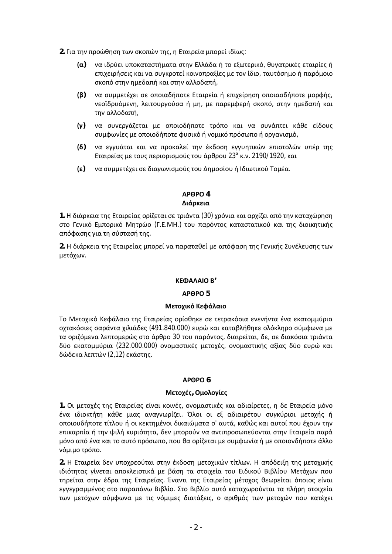2. Για την προώθηση των σκοπών της, η Εταιρεία μπορεί ιδίως:

- $\alpha$ ) να ιδρύει υποκαταστήματα στην Ελλάδα ή το εξωτερικό, θυγατρικές εταιρίες ή επιχειρήσεις και να συγκροτεί κοινοπραξίες με τον ίδιο, ταυτόσημο ή παρόμοιο σκοπό στην ημεδαπή και στην αλλοδαπή,
- **;ɴ)** ʆɲ ʍʐʅʅɸʏɹʖɸɿ ʍɸ ʉʋʉɿɲɷɼʋʉʏɸȵʏɲɿʌɸʀɲɼ ɸʋɿʖɸʀʌɻʍɻ ʉʋʉɿɲʍɷɼʋʉʏɸ ʅʉʌʔɼʎ, νεοϊδρυόμενη, λειτουργούσα ή μη, με παρεμφερή σκοπό, στην ημεδαπή και την αλλοδαπή,
- $\alpha$  να συνεργάζεται με οποιοδήποτε τρόπο και να συνάπτει κάθε είδους συμφωνίες με οποιοδήποτε φυσικό ή νομικό πρόσωπο ή οργανισμό,
- $(δ)$  να εγγυάται και να προκαλεί την έκδοση εγγυητικών επιστολών υπέρ της Εταιρείας με τους περιορισμούς του άρθρου 23<sup>α</sup> κ.ν. 2190/1920, και
- $\epsilon$ ) να συμμετέχει σε διαγωνισμούς του Δημοσίου ή Ιδιωτικού Τομέα.

### **ȰɆȺɆɃ 4**  Διάρκεια

1. Η διάρκεια της Εταιρείας ορίζεται σε τριάντα (30) χρόνια και αρχίζει από την καταχώρηση στο Γενικό Εμπορικό Μητρώο (Γ.Ε.ΜΗ.) του παρόντος καταστατικού και της διοικητικής απόφασης για τη σύστασή της.

2. Η διάρκεια της Εταιρείας μπορεί να παραταθεί με απόφαση της Γενικής Συνέλευσης των μετόχων.

# **ȾȵɌȰȿȰȻɃȲ'**

### **ȰɆȺɆɃ 5**

### **Μετοχικό Κεφάλαιο**

Το Μετοχικό Κεφάλαιο της Εταιρείας ορίσθηκε σε τετρακόσια ενενήντα ένα εκατομμύρια οχτακόσιες σαράντα χιλιάδες (491.840.000) ευρώ και καταβλήθηκε ολόκληρο σύμφωνα με τα οριζόμενα λεπτομερώς στο άρθρο 30 του παρόντος, διαιρείται, δε, σε διακόσια τριάντα δύο εκατομμύρια (232.000.000) ονομαστικές μετοχές, ονομαστικής αξίας δύο ευρώ και δώδεκα λεπτών (2,12) εκάστης.

### **ȰɆȺɆɃ 6**

### **Μετοχές, Ομολογίες**

1. Οι μετοχές της Εταιρείας είναι κοινές, ονομαστικές και αδιαίρετες, η δε Εταιρεία μόνο ένα ιδιοκτήτη κάθε μιας αναγνωρίζει. Όλοι οι εξ αδιαιρέτου συγκύριοι μετοχής ή oποιουδήποτε τίτλου ή οι κεκτημένοι δικαιώματα σ' αυτά, καθώς και αυτοί που έχουν την επικαρπία ή την ψιλή κυριότητα, δεν μπορούν να αντιπροσωπεύονται στην Εταιρεία παρά μόνο από ένα και το αυτό πρόσωπο, που θα ορίζεται με συμφωνία ή με οποιονδήποτε άλλο νόμιμο τρόπο.

2. Η Εταιρεία δεν υποχρεούται στην έκδοση μετοχικών τίτλων. Η απόδειξη της μετοχικής ιδιότητας γίνεται αποκλειστικά με βάση τα στοιχεία του Ειδικού Βιβλίου Μετόχων που τηρείται στην έδρα της Εταιρείας. Έναντι της Εταιρείας μέτοχος θεωρείται όποιος είναι εγγεγραμμένος στο παραπάνω Βιβλίο. Στο Βιβλίο αυτό καταχωρούνται τα πλήρη στοιχεία των μετόχων σύμφωνα με τις νόμιμες διατάξεις, ο αριθμός των μετοχών που κατέχει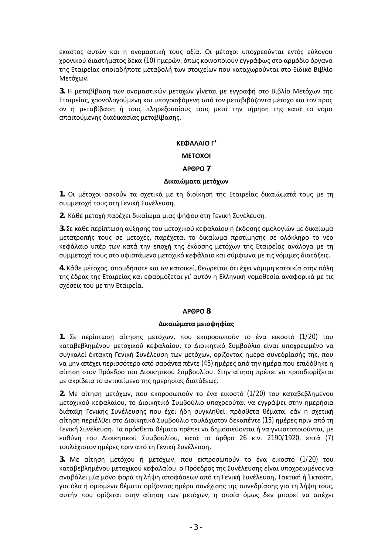έκαστος αυτών και η ονομαστική τους αξία. Οι μέτοχοι υποχρεούνται εντός εύλογου χρονικού διαστήματος δέκα (10) ημερών, όπως κοινοποιούν εγγράφως στο αρμόδιο όργανο της Εταιρείας οποιαδήποτε μεταβολή των στοιχείων που καταχωρούνται στο Ειδικό Βιβλίο Μετόχων.

3. Η μεταβίβαση των ονομαστικών μετοχών γίνεται με εγγραφή στο Βιβλίο Μετόχων της Εταιρείας, χρονολογούμενη και υπογραφόμενη από τον μεταβιβάζοντα μέτοχο και τον προς ον η μεταβίβαση ή τους πληρεξουσίους τους μετά την τήρηση της κατά το νόμο απαιτούμενης διαδικασίας μεταβίβασης.

### **ȾȵɌȰȿȰȻɃȳ'**

### **METOXOI**

### **ȰɆȺɆɃ 7**

### Δικαιώματα μετόχων

1. Οι μέτοχοι ασκούν τα σχετικά με τη διοίκηση της Εταιρείας δικαιώματά τους με τη συμμετοχή τους στη Γενική Συνέλευση.

2. Κάθε μετοχή παρέχει δικαίωμα μιας ψήφου στη Γενική Συνέλευση.

3. Σε κάθε περίπτωση αύξησης του μετοχικού κεφαλαίου ή έκδοσης ομολογιών με δικαίωμα μετατροπής τους σε μετοχές, παρέχεται το δικαίωμα προτίμησης σε ολόκληρο το νέο κεφάλαιο υπέρ των κατά την εποχή της έκδοσης μετόχων της Εταιρείας ανάλογα με τη συμμετοχή τους στο υφιστάμενο μετοχικό κεφάλαιο και σύμφωνα με τις νόμιμες διατάξεις.

4. Κάθε μέτοχος, οπουδήποτε και αν κατοικεί, θεωρείται ότι έχει νόμιμη κατοικία στην πόλη της έδρας της Εταιρείας και εφαρμόζεται γι' αυτόν η Ελληνική νομοθεσία αναφορικά με τις σχέσεις του με την Εταιρεία.

# **ȰɆȺɆɃ 8**

### Δικαιώματα μειοψηφίας

1. Σε περίπτωση αίτησης μετόχων, που εκπροσωπούν το ένα εικοστό (1/20) του καταβεβλημένου μετοχικού κεφαλαίου, το Διοικητικό Συμβούλιο είναι υποχρεωμένο να συγκαλεί έκτακτη Γενική Συνέλευση των μετόχων, ορίζοντας ημέρα συνεδρίασής της, που να μην απέχει περισσότερο από σαράντα πέντε (45) ημέρες από την ημέρα που επιδόθηκε η αίτηση στον Πρόεδρο του Διοικητικού Συμβουλίου. Στην αίτηση πρέπει να προσδιορίζεται με ακρίβεια το αντικείμενο της ημερησίας διατάξεως.

2. Με αίτηση μετόχων, που εκπροσωπούν το ένα εικοστό (1/20) του καταβεβλημένου μετοχικού κεφαλαίου, το Διοικητικό Συμβούλιο υποχρεούται να εγγράψει στην ημερήσια διάταξη Γενικής Συνέλευσης που έχει ήδη συγκληθεί, πρόσθετα θέματα, εάν η σχετική αίτηση περιέλθει στο Διοικητικό Συμβούλιο τουλάχιστον δεκαπέντε (15) ημέρες πριν από τη Γενική Συνέλευση. Τα πρόσθετα θέματα πρέπει να δημοσιεύονται ή να γνωστοποιούνται, με ευθύνη του Διοικητικού Συμβουλίου, κατά το άρθρο 26 κ.ν. 2190/1920, επτά (7) τουλάχιστον ημέρες πριν από τη Γενική Συνέλευση.

3. Με αίτηση μετόχου ή μετόχων, που εκπροσωπούν το ένα εικοστό (1/20) του καταβεβλημένου μετοχικού κεφαλαίου, ο Πρόεδρος της Συνέλευσης είναι υποχρεωμένος να αναβάλει μία μόνο φορά τη λήψη αποφάσεων από τη Γενική Συνέλευση, Τακτική ή Έκτακτη, για όλα ή ορισμένα θέματα ορίζοντας ημέρα συνέχισης της συνεδρίασης για τη λήψη τους, αυτήν που ορίζεται στην αίτηση των μετόχων, η οποία όμως δεν μπορεί να απέχει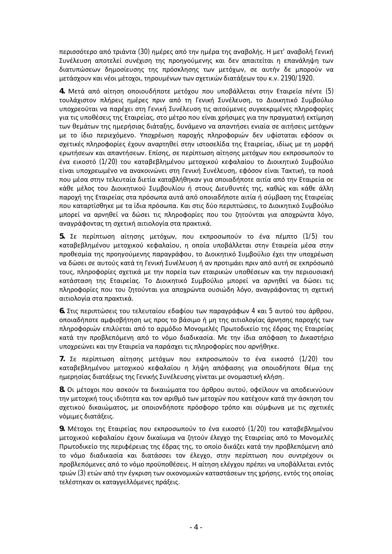περισσότερο από τριάντα (30) ημέρες από την ημέρα της αναβολής. Η μετ' αναβολή Γενική Συνέλευση αποτελεί συνέχιση της προηγούμενης και δεν απαιτείται η επανάληψη των διατυπώσεων δημοσίευσης της πρόσκλησης των μετόχων, σε αυτήν δε μπορούν να μετάσχουν και νέοι μέτοχοι, τηρουμένων των σχετικών διατάξεων του κ.ν. 2190/1920.

4. Μετά από αίτηση οποιουδήποτε μετόχου που υποβάλλεται στην Εταιρεία πέντε (5) τουλάχιστον πλήρεις ημέρες πριν από τη Γενική Συνέλευση, το Διοικητικό Συμβούλιο υποχρεούται να παρέχει στη Γενική Συνέλευση τις αιτούμενες συγκεκριμένες πληροφορίες για τις υποθέσεις της Εταιρείας, στο μέτρο που είναι χρήσιμες για την πραγματική εκτίμηση των θεμάτων της ημερήσιας διάταξης, δυνάμενο να απαντήσει ενιαία σε αιτήσεις μετόχων με το ίδιο περιεχόμενο. Υποχρέωση παροχής πληροφοριών δεν υφίσταται εφόσον οι σχετικές πληροφορίες έχουν αναρτηθεί στην ιστοσελίδα της Εταιρείας, ιδίως με τη μορφή ερωτήσεων και απαντήσεων. Επίσης, σε περίπτωση αίτησης μετόχων που εκπροσωπούν το ένα εικοστό (1/20) του καταβεβλημένου μετοχικού κεφαλαίου το Διοικητικό Συμβούλιο είναι υποχρεωμένο να ανακοινώνει στη Γενική Συνέλευση, εφόσον είναι Τακτική, τα ποσά που μέσα στην τελευταία διετία καταβλήθηκαν για οποιαδήποτε αιτία από την Εταιρεία σε κάθε μέλος του Διοικητικού Συμβουλίου ή στους Διευθυντές της, καθώς και κάθε άλλη παροχή της Εταιρείας στα πρόσωπα αυτά από οποιαδήποτε αιτία ή σύμβαση της Εταιρείας που καταρτίσθηκε με τα ίδια πρόσωπα. Και στις δύο περιπτώσεις, το Διοικητικό Συμβούλιο μπορεί να αρνηθεί να δώσει τις πληροφορίες που του ζητούνται για αποχρώντα λόγο, αναγράφοντας τη σχετική αιτιολογία στα πρακτικά.

5. Σε περίπτωση αίτησης μετόχων, που εκπροσωπούν το ένα πέμπτο (1/5) του καταβεβλημένου μετοχικού κεφαλαίου, η οποία υποβάλλεται στην Εταιρεία μέσα στην προθεσμία της προηγούμενης παραγράφου, το Διοικητικό Συμβούλιο έχει την υποχρέωση να δώσει σε αυτούς κατά τη Γενική Συνέλευση ή αν προτιμάει πριν από αυτή σε εκπρόσωπό τους, πληροφορίες σχετικά με την πορεία των εταιρικών υποθέσεων και την περιουσιακή κατάσταση της Εταιρείας. Το Διοικητικό Συμβούλιο μπορεί να αρνηθεί να δώσει τις πληροφορίες που του ζητούνται για αποχρώντα ουσιώδη λόγο, αναγράφοντας τη σχετική αιτιολογία στα πρακτικά.

6. Στις περιπτώσεις του τελευταίου εδαφίου των παραγράφων 4 και 5 αυτού του άρθρου, oποιαδήποτε αμφισβήτηση ως προς το βάσιμο ή μη της αιτιολογίας άρνησης παροχής των πληροφοριών επιλύεται από το αρμόδιο Μονομελές Πρωτοδικείο της έδρας της Εταιρείας κατά την προβλεπόμενη από το νόμο διαδικασία. Με την ίδια απόφαση το Δικαστήριο υποχρεώνει και την Εταιρεία να παράσχει τις πληροφορίες που αρνήθηκε.

7. Σε περίπτωση αίτησης μετόχων που εκπροσωπούν το ένα εικοστό (1/20) του καταβεβλημένου μετοχικού κεφαλαίου η λήψη απόφασης για οποιοδήποτε θέμα της ημερησίας διατάξεως της Γενικής Συνέλευσης γίνεται με ονομαστική κλήση.

8. Οι μέτοχοι που ασκούν τα δικαιώματα του άρθρου αυτού, οφείλουν να αποδεικνύουν την μετοχική τους ιδιότητα και τον αριθμό των μετοχών που κατέχουν κατά την άσκηση του σχετικού δικαιώματος, με οποιονδήποτε πρόσφορο τρόπο και σύμφωνα με τις σχετικές νόμιμες διατάξεις.

9. Μέτοχοι της Εταιρείας που εκπροσωπούν το ένα εικοστό (1/20) του καταβεβλημένου μετοχικού κεφαλαίου έχουν δικαίωμα να ζητούν έλεγχο της Εταιρείας από το Μονομελές Πρωτοδικείο της περιφέρειας της έδρας της, το οποίο δικάζει κατά την προβλεπόμενη από το νόμο διαδικασία και διατάσσει τον έλεγχο, στην περίπτωση που συντρέχουν οι προβλεπόμενες από το νόμο προϋποθέσεις. Η αίτηση ελέγχου πρέπει να υποβάλλεται εντός τριών (3) ετών από την έγκριση των οικονομικών καταστάσεων της χρήσης, εντός της οποίας τελέστηκαν οι καταγγελλόμενες πράξεις.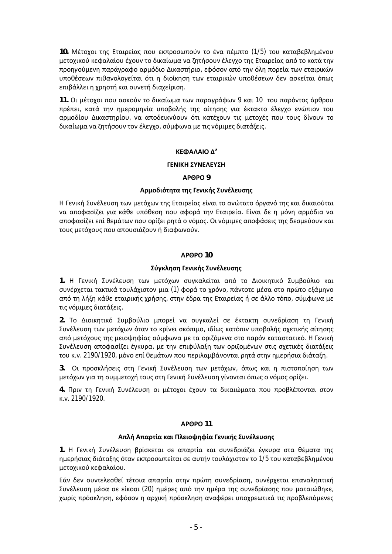**10. Μέτοχοι της Εταιρείας που εκπροσωπούν το ένα πέμπτο (1/5) του καταβεβλημένου** μετοχικού κεφαλαίου έχουν το δικαίωμα να ζητήσουν έλεγχο της Εταιρείας από το κατά την προηγούμενη παράγραφο αρμόδιο Δικαστήριο, εφόσον από την όλη πορεία των εταιρικών υποθέσεων πιθανολογείται ότι η διοίκηση των εταιρικών υποθέσεων δεν ασκείται όπως ɛπιβάλλει η χρηστή και συνετή διαχείριση.

11. Οι μέτοχοι που ασκούν το δικαίωμα των παραγράφων 9 και 10 του παρόντος άρθρου πρέπει, κατά την ημερομηνία υποβολής της αίτησης για έκτακτο έλεγχο ενώπιον του αρμοδίου Δικαστηρίου, να αποδεικνύουν ότι κατέχουν τις μετοχές που τους δίνουν το δικαίωμα να ζητήσουν τον έλεγχο, σύμφωνα με τις νόμιμες διατάξεις.

### **ȾȵɌȰȿȰȻɃȴ'**

### **ΓΕΝΙΚΗ ΣΥΝΕΛΕΥΣΗ**

### **ȰɆȺɆɃ 9**

### **Αρμοδιότητα της Γενικής Συνέλευσης**

Η Γενική Συνέλευση των μετόχων της Εταιρείας είναι το ανώτατο όργανό της και δικαιούται να αποφασίζει για κάθε υπόθεση που αφορά την Εταιρεία. Είναι δε η μόνη αρμόδια να αποφασίζει επί θεμάτων που ορίζει ρητά ο νόμος. Οι νόμιμες αποφάσεις της δεσμεύουν και τους μετόχους που απουσιάζουν ή διαφωνούν.

### **ȰɆȺɆɃ 10**

### Σύγκληση Γενικής Συνέλευσης

1. Η Γενική Συνέλευση των μετόχων συγκαλείται από το Διοικητικό Συμβούλιο και συνέρχεται τακτικά τουλάχιστον μια (1) φορά το χρόνο, πάντοτε μέσα στο πρώτο εξάμηνο από τη λήξη κάθε εταιρικής χρήσης, στην έδρα της Εταιρείας ή σε άλλο τόπο, σύμφωνα με τις νόμιμες διατάξεις.

2. Το Διοικητικό Συμβούλιο μπορεί να συγκαλεί σε έκτακτη συνεδρίαση τη Γενική Συνέλευση των μετόχων όταν το κρίνει σκόπιμο, ιδίως κατόπιν υποβολής σχετικής αίτησης από μετόχους της μειοψηφίας σύμφωνα με τα οριζόμενα στο παρόν καταστατικό. Η Γενική Συνέλευση αποφασίζει έγκυρα, με την επιφύλαξη των οριζομένων στις σχετικές διατάξεις του κ.ν. 2190/1920, μόνο επί θεμάτων που περιλαμβάνονται ρητά στην ημερήσια διάταξη.

3. Οι προσκλήσεις στη Γενική Συνέλευση των μετόχων, όπως και η πιστοποίηση των μετόχων για τη συμμετοχή τους στη Γενική Συνέλευση γίνονται όπως ο νόμος ορίζει.

4. Πριν τη Γενική Συνέλευση οι μέτοχοι έχουν τα δικαιώματα που προβλέπονται στον K.V. 2190/1920.

### **ȰɆȺɆɃ 11**

# **Απλή Απαρτία και Πλειοψηφία Γενικής Συνέλευσης**

1. Η Γενική Συνέλευση βρίσκεται σε απαρτία και συνεδριάζει έγκυρα στα θέματα της ημερήσιας διάταξης όταν εκπροσωπείται σε αυτήν τουλάχιστον το 1/5 του καταβεβλημένου μετοχικού κεφαλαίου.

Εάν δεν συντελεσθεί τέτοια απαρτία στην πρώτη συνεδρίαση, συνέρχεται επαναληπτική Συνέλευση μέσα σε είκοσι (20) ημέρες από την ημέρα της συνεδρίασης που ματαιώθηκε, χωρίς πρόσκληση, εφόσον η αρχική πρόσκληση αναφέρει υποχρεωτικά τις προβλεπόμενες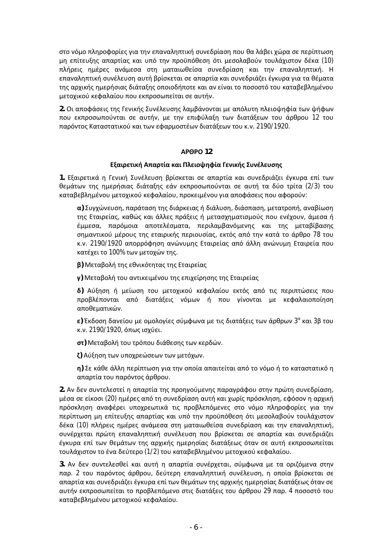στο νόμο πληροφορίες για την επαναληπτική συνεδρίαση που θα λάβει χώρα σε περίπτωση μη επίτευξης απαρτίας και υπό την προϋπόθεση ότι μεσολαβούν τουλάχιστον δέκα (10) πλήρεις ημέρες ανάμεσα στη ματαιωθείσα συνεδρίαση και την επαναληπτική. Η επαναληπτική συνέλευση αυτή βρίσκεται σε απαρτία και συνεδριάζει έγκυρα για τα θέματα της αρχικής ημερήσιας διάταξης οποιοδήποτε και αν είναι το ποσοστό του καταβεβλημένου μετοχικού κεφαλαίου που εκπροσωπείται σε αυτήν.

2. Οι αποφάσεις της Γενικής Συνέλευσης λαμβάνονται με απόλυτη πλειοψηφία των ψήφων που εκπροσωπούνται σε αυτήν, με την επιφύλαξη των διατάξεων του άρθρου 12 του παρόντος Καταστατικού και των εφαρμοστέων διατάξεων του κ.ν. 2190/1920.

### **ȰɆȺɆɃ 12**

### **Εξαιρετική Απαρτία και Πλειοψηφία Γενικής Συνέλευσης**

1. Εξαιρετικά η Γενική Συνέλευση βρίσκεται σε απαρτία και συνεδριάζει έγκυρα επί των θεμάτων της ημερήσιας διάταξης εάν εκπροσωπούνται σε αυτή τα δύο τρίτα (2/3) του καταβεβλημένου μετοχικού κεφαλαίου, προκειμένου για αποφάσεις που αφορούν:

**α**) Συγχώνευση, παράταση της διάρκειας ή διάλυση, διάσπαση, μετατροπή, αναβίωση της Εταιρείας, καθώς και άλλες πράξεις ή μετασχηματισμούς που ενέχουν, άμεσα ή έμμεσα, παρόμοια αποτελέσματα, περιλαμβανόμενης και της μεταβίβασης σημαντικού μέρους της εταιρικής περιουσίας, εκτός από την κατά το άρθρο 78 του κ.ν. 2190/1920 απορρόφηση ανώνυμης Εταιρείας από άλλη ανώνυμη Εταιρεία που κατέχει το 100% των μετοχών της.

**β**) Μεταβολή της εθνικότητας της Εταιρείας

γ) Μεταβολή του αντικειμένου της επιχείρησης της Εταιρείας

δ) Αύξηση ή μείωση του μετοχικού κεφαλαίου εκτός από τις περιπτώσεις που προβλέπονται από διατάξεις νόμων ή που γίνονται με κεφαλαιοποίηση αποθεματικών.

**ε)** Έκδοση δανείου με ομολογίες σύμφωνα με τις διατάξεις των άρθρων 3ª και 3β του κ.ν. 2190/1920, όπως ισχύει.

**στ**) Μεταβολή του τρόπου διάθεσης των κερδών.

 $\zeta$ ) Αύξηση των υποχρεώσεων των μετόχων.

**η) Σε κάθε άλλη περίπτωση για την οποία απαιτείται από το νόμο ή το καταστατικό η** απαρτία του παρόντος άρθρου.

2. Αν δεν συντελεστεί η απαρτία της προηγούμενης παραγράφου στην πρώτη συνεδρίαση, μέσα σε είκοσι (20) ημέρες από τη συνεδρίαση αυτή και χωρίς πρόσκληση, εφόσον η αρχική πρόσκληση αναφέρει υποχρεωτικά τις προβλεπόμενες στο νόμο πληροφορίες για την περίπτωση μη επίτευξης απαρτίας και υπό την προϋπόθεση ότι μεσολαβούν τουλάχιστον δέκα (10) πλήρεις ημέρες ανάμεσα στη ματαιωθείσα συνεδρίαση και την επαναληπτική, συνέρχεται πρώτη επαναληπτική συνέλευση που βρίσκεται σε απαρτία και συνεδριάζει έγκυρα επί των θεμάτων της αρχικής ημερησίας διατάξεως όταν σε αυτή εκπροσωπείται τουλάχιστον το ένα δεύτερο (1/2) του καταβεβλημένου μετοχικού κεφαλαίου.

3. Αν δεν συντελεσθεί και αυτή η απαρτία συνέρχεται, σύμφωνα με τα οριζόμενα στην παρ. 2 του παρόντος άρθρου, δεύτερη επαναληπτική συνέλευση, η οποία βρίσκεται σε απαρτία και συνεδριάζει έγκυρα επί των θεμάτων της αρχικής ημερησίας διατάξεως όταν σε αυτήν εκπροσωπείται το προβλεπόμενο στις διατάξεις του άρθρου 29 παρ. 4 ποσοστό του καταβεβλημένου μετοχικού κεφαλαίου.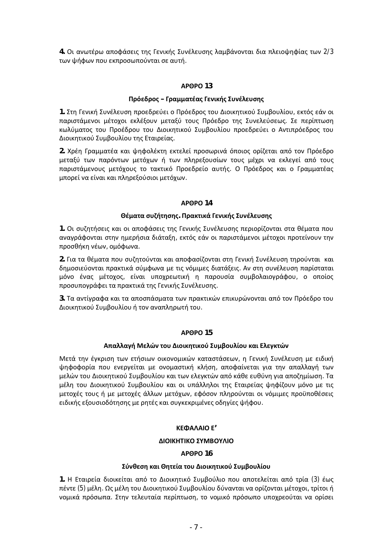4. Οι ανωτέρω αποφάσεις της Γενικής Συνέλευσης λαμβάνονται δια πλειοψηφίας των 2/3 των ψήφων που εκπροσωπούνται σε αυτή.

### **ȰɆȺɆɃ 13**

### $\Pi$ ρόεδρος – Γραμματέας Γενικής Συνέλευσης

1. Στη Γενική Συνέλευση προεδρεύει ο Πρόεδρος του Διοικητικού Συμβουλίου, εκτός εάν οι παριστάμενοι μέτοχοι εκλέξουν μεταξύ τους Πρόεδρο της Συνελεύσεως. Σε περίπτωση κωλύματος του Προέδρου του Διοικητικού Συμβουλίου προεδρεύει ο Αντιπρόεδρος του Διοικητικού Συμβουλίου της Εταιρείας.

2. Χρέη Γραμματέα και ψηφολέκτη εκτελεί προσωρινά όποιος ορίζεται από τον Πρόεδρο μεταξύ των παρόντων μετόχων ή των πληρεξουσίων τους μέχρι να εκλεγεί από τους παριστάμενους μετόχους το τακτικό Προεδρείο αυτής. Ο Πρόεδρος και ο Γραμματέας μπορεί να είναι και πληρεξούσιοι μετόχων.

### **ȰɆȺɆɃ 14**

### **Θέματα συζήτησης. Πρακτικά Γενικής Συνέλευσης**

1. Οι συζητήσεις και οι αποφάσεις της Γενικής Συνέλευσης περιορίζονται στα θέματα που αναγράφονται στην ημερήσια διάταξη, εκτός εάν οι παριστάμενοι μέτοχοι προτείνουν την προσθήκη νέων, ομόφωνα.

2. Για τα θέματα που συζητούνται και αποφασίζονται στη Γενική Συνέλευση τηρούνται και δημοσιεύονται πρακτικά σύμφωνα με τις νόμιμες διατάξεις. Αν στη συνέλευση παρίσταται μόνο ένας μέτοχος, είναι υποχρεωτική η παρουσία συμβολαιογράφου, ο οποίος προσυπογράφει τα πρακτικά της Γενικής Συνέλευσης.

3. Τα αντίγραφα και τα αποσπάσματα των πρακτικών επικυρώνονται από τον Πρόεδρο του Διοικητικού Συμβουλίου ή τον αναπληρωτή του.

### **ȰɆȺɆɃ 15**

### Aπαλλαγή Μελών του Διοικητικού Συμβουλίου και Ελεγκτών

Μετά την έγκριση των ετήσιων οικονομικών καταστάσεων, η Γενική Συνέλευση με ειδική ψηφοφορία που ενεργείται με ονομαστική κλήση, αποφαίνεται για την απαλλαγή των μελών του Διοικητικού Συμβουλίου και των ελεγκτών από κάθε ευθύνη για αποζημίωση. Τα μέλη του Διοικητικού Συμβουλίου και οι υπάλληλοι της Εταιρείας ψηφίζουν μόνο με τις μετοχές τους ή με μετοχές άλλων μετόχων, εφόσον πληρούνται οι νόμιμες προϋποθέσεις ειδικής εξουσιοδότησης με ρητές και συγκεκριμένες οδηγίες ψήφου.

# **ȾȵɌȰȿȰȻɃȵ'**

# **ΔΙΟΙΚΗΤΙΚΟ ΣΥΜΒΟΥΛΙΟ**

# **ȰɆȺɆɃ 16**

### Σύνθεση και Θητεία του Διοικητικού Συμβουλίου

1. Η Εταιρεία διοικείται από το Διοικητικό Συμβούλιο που αποτελείται από τρία (3) έως πέντε (5) μέλη. Ως μέλη του Διοικητικού Συμβουλίου δύνανται να ορίζονται μέτοχοι, τρίτοι ή νομικά πρόσωπα. Στην τελευταία περίπτωση, το νομικό πρόσωπο υποχρεούται να ορίσει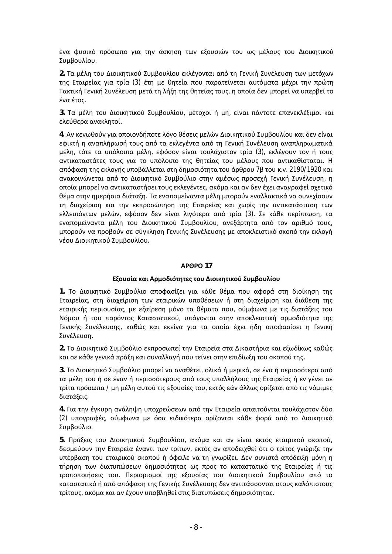ένα φυσικό πρόσωπο για την άσκηση των εξουσιών του ως μέλους του Διοικητικού Συμβουλίου.

2. Τα μέλη του Διοικητικού Συμβουλίου εκλέγονται από τη Γενική Συνέλευση των μετόχων της Εταιρείας για τρία (3) έτη με θητεία που παρατείνεται αυτόματα μέχρι την πρώτη Τακτική Γενική Συνέλευση μετά τη λήξη της θητείας τους, η οποία δεν μπορεί να υπερβεί το ένα έτος.

3. Τα μέλη του Διοικητικού Συμβουλίου, μέτοχοι ή μη, είναι πάντοτε επανεκλέξιμοι και ελεύθερα ανακλητοί.

4. Αν κενωθούν για οποιονδήποτε λόγο θέσεις μελών Διοικητικού Συμβουλίου και δεν είναι εφικτή η αναπλήρωσή τους από τα εκλεγέντα από τη Γενική Συνέλευση αναπληρωματικά μέλη, τότε τα υπόλοιπα μέλη, εφόσον είναι τουλάχιστον τρία (3), εκλέγουν τον ή τους αντικαταστάτες τους για το υπόλοιπο της θητείας του μέλους που αντικαθίσταται. Η απόφαση της εκλογής υποβάλλεται στη δημοσιότητα του άρθρου 7β του κ.ν. 2190/1920 και ανακοινώνεται από το Διοικητικό Συμβούλιο στην αμέσως προσεχή Γενική Συνέλευση, η oποία μπορεί να αντικαταστήσει τους εκλεγέντες, ακόμα και αν δεν έχει αναγραφεί σχετικό θέμα στην ημερήσια διάταξη. Τα εναπομείναντα μέλη μπορούν εναλλακτικά να συνεχίσουν τη διαχείριση και την εκπροσώπηση της Εταιρείας και χωρίς την αντικατάσταση των ελλειπόντων μελών, εφόσον δεν είναι λιγότερα από τρία (3). Σε κάθε περίπτωση, τα εναπομείναντα μέλη του Διοικητικού Συμβουλίου, ανεξάρτητα από τον αριθμό τους, μπορούν να προβούν σε σύγκληση Γενικής Συνέλευσης με αποκλειστικό σκοπό την εκλογή νέου Διοικητικού Συμβουλίου.

### **ȰɆȺɆɃ 17**

# **Εξουσία και Αρμοδιότητες του Διοικητικού Συμβουλίου**

1. Το Διοικητικό Συμβούλιο αποφασίζει για κάθε θέμα που αφορά στη διοίκηση της Εταιρείας, στη διαχείριση των εταιρικών υποθέσεων ή στη διαχείριση και διάθεση της εταιρικής περιουσίας, με εξαίρεση μόνο τα θέματα που, σύμφωνα με τις διατάξεις του Νόμου ή του παρόντος Καταστατικού, υπάγονται στην αποκλειστική αρμοδιότητα της Γενικής Συνέλευσης, καθώς και εκείνα για τα οποία έχει ήδη αποφασίσει η Γενική Συνέλευση.

2. Το Διοικητικό Συμβούλιο εκπροσωπεί την Εταιρεία στα Δικαστήρια και εξωδίκως καθώς και σε κάθε γενικά πράξη και συναλλαγή που τείνει στην επιδίωξη του σκοπού της.

3. Το Διοικητικό Συμβούλιο μπορεί να αναθέτει, ολικά ή μερικά, σε ένα ή περισσότερα από τα μέλη του ή σε έναν ή περισσότερους από τους υπαλλήλους της Εταιρείας ή εν γένει σε τρίτα πρόσωπα / μη μέλη αυτού τις εξουσίες του, εκτός εάν άλλως ορίζεται από τις νόμιμες διατάξεις.

4. Για την έγκυρη ανάληψη υποχρεώσεων από την Εταιρεία απαιτούνται τουλάχιστον δύο (2) υπογραφές, σύμφωνα με όσα ειδικότερα ορίζονται κάθε φορά από το Διοικητικό Συμβούλιο.

5. Πράξεις του Διοικητικού Συμβουλίου, ακόμα και αν είναι εκτός εταιρικού σκοπού, δεσμεύουν την Εταιρεία έναντι των τρίτων, εκτός αν αποδειχθεί ότι ο τρίτος γνώριζε την υπέρβαση του εταιρικού σκοπού ή όφειλε να τη γνωρίζει. Δεν συνιστά απόδειξη μόνη η τήρηση των διατυπώσεων δημοσιότητας ως προς το καταστατικό της Εταιρείας ή τις τροποποιήσεις του. Περιορισμοί της εξουσίας του Διοικητικού Συμβουλίου από το καταστατικό ή από απόφαση της Γενικής Συνέλευσης δεν αντιτάσσονται στους καλόπιστους τρίτους, ακόμα και αν έχουν υποβληθεί στις διατυπώσεις δημοσιότητας.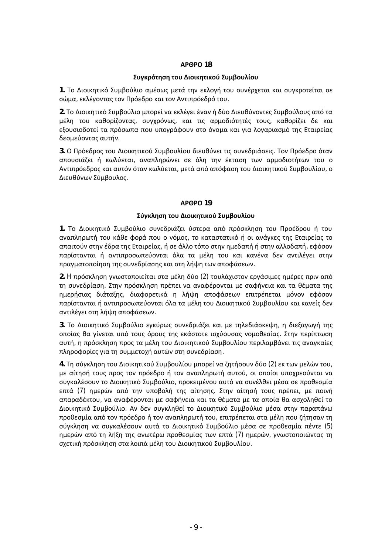### Συγκρότηση του Διοικητικού Συμβουλίου

1. Το Διοικητικό Συμβούλιο αμέσως μετά την εκλογή του συνέρχεται και συγκροτείται σε σώμα, εκλέγοντας τον Πρόεδρο και τον Αντιπρόεδρό του.

2. Το Διοικητικό Συμβούλιο μπορεί να εκλέγει έναν ή δύο Διευθύνοντες Συμβούλους από τα μέλη του καθορίζοντας, συγχρόνως, και τις αρμοδιότητές τους, καθορίζει δε και εξουσιοδοτεί τα πρόσωπα που υπογράφουν στο όνομα και για λογαριασμό της Εταιρείας δεσμεύοντας αυτήν.

3. Ο Πρόεδρος του Διοικητικού Συμβουλίου διευθύνει τις συνεδριάσεις. Τον Πρόεδρο όταν απουσιάζει ή κωλύεται, αναπληρώνει σε όλη την έκταση των αρμοδιοτήτων του ο Aντιπρόεδρος και αυτόν όταν κωλύεται, μετά από απόφαση του Διοικητικού Συμβουλίου, ο Διευθύνων Σύμβουλος.

### **ȰɆȺɆɃ 19**

### **Σύνκληση του Διοικητικού Συμβουλίου**

1. Το Διοικητικό Συμβούλιο συνεδριάζει ύστερα από πρόσκληση του Προέδρου ή του αναπληρωτή του κάθε φορά που ο νόμος, το καταστατικό ή οι ανάγκες της Εταιρείας το απαιτούν στην έδρα της Εταιρείας, ή σε άλλο τόπο στην ημεδαπή ή στην αλλοδαπή, εφόσον παρίστανται ή αντιπροσωπεύονται όλα τα μέλη του και κανένα δεν αντιλέγει στην πραγματοποίηση της συνεδρίασης και στη λήψη των αποφάσεων.

2. Η πρόσκληση γνωστοποιείται στα μέλη δύο (2) τουλάχιστον εργάσιμες ημέρες πριν από τη συνεδρίαση. Στην πρόσκληση πρέπει να αναφέρονται με σαφήνεια και τα θέματα της ημερήσιας διάταξης, διαφορετικά η λήψη αποφάσεων επιτρέπεται μόνον εφόσον παρίστανται ή αντιπροσωπεύονται όλα τα μέλη του Διοικητικού Συμβουλίου και κανείς δεν αντιλέγει στη λήψη αποφάσεων.

3. Το Διοικητικό Συμβούλιο εγκύρως συνεδριάζει και με τηλεδιάσκεψη, η διεξαγωγή της <u>οποίας θα γίνεται υπό τους όρους της εκάστοτε ισχύουσας νομοθεσίας. Στην περίπτωση</u> αυτή, η πρόσκληση προς τα μέλη του Διοικητικού Συμβουλίου περιλαμβάνει τις αναγκαίες πληροφορίες για τη συμμετοχή αυτών στη συνεδρίαση.

4. Τη σύγκληση του Διοικητικού Συμβουλίου μπορεί να ζητήσουν δύο (2) εκ των μελών του, με αίτησή τους προς τον πρόεδρο ή τον αναπληρωτή αυτού, οι οποίοι υποχρεούνται να συγκαλέσουν το Διοικητικό Συμβούλιο, προκειμένου αυτό να συνέλθει μέσα σε προθεσμία επτά (7) ημερών από την υποβολή της αίτησης. Στην αίτησή τους πρέπει, με ποινή απαραδέκτου, να αναφέρονται με σαφήνεια και τα θέματα με τα οποία θα ασχοληθεί το Διοικητικό Συμβούλιο. Αν δεν συγκληθεί το Διοικητικό Συμβούλιο μέσα στην παραπάνω προθεσμία από τον πρόεδρο ή τον αναπληρωτή του, επιτρέπεται στα μέλη που ζήτησαν τη σύγκληση να συγκαλέσουν αυτά το Διοικητικό Συμβούλιο μέσα σε προθεσμία πέντε (5) ημερών από τη λήξη της ανωτέρω προθεσμίας των επτά (7) ημερών, γνωστοποιώντας τη σχετική πρόσκληση στα λοιπά μέλη του Διοικητικού Συμβουλίου.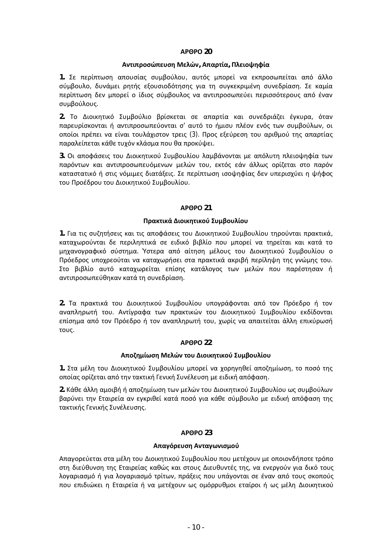### **Αντιπροσώπευση Μελών, Απαρτία, Πλειοψηφία**

1. Σε περίπτωση απουσίας συμβούλου, αυτός μπορεί να εκπροσωπείται από άλλο σύμβουλο, δυνάμει ρητής εξουσιοδότησης για τη συγκεκριμένη συνεδρίαση. Σε καμία περίπτωση δεν μπορεί ο ίδιος σύμβουλος να αντιπροσωπεύει περισσότερους από έναν συμβούλους.

2. Το Διοικητικό Συμβούλιο βρίσκεται σε απαρτία και συνεδριάζει έγκυρα, όταν παρευρίσκονται ή αντιπροσωπεύονται σ' αυτό το ήμισυ πλέον ενός των συμβούλων, οι <u>οποίοι πρέπει να είναι τουλάχιστον τρεις (3). Προς εξεύρεση του αριθμού της απαρτίας</u> παραλείπεται κάθε τυχόν κλάσμα που θα προκύψει.

3. Οι αποφάσεις του Διοικητικού Συμβουλίου λαμβάνονται με απόλυτη πλειοψηφία των παρόντων και αντιπροσωπευόμενων μελών του, εκτός εάν άλλως ορίζεται στο παρόν καταστατικό ή στις νόμιμες διατάξεις. Σε περίπτωση ισοψηφίας δεν υπερισχύει η ψήφος του Προέδρου του Διοικητικού Συμβουλίου.

### **ȰɆȺɆɃ 21**

### **Πρακτικά Διοικητικού Συμβουλίου**

1. Για τις συζητήσεις και τις αποφάσεις του Διοικητικού Συμβουλίου τηρούνται πρακτικά, καταχωρούνται δε περιληπτικά σε ειδικό βιβλίο που μπορεί να τηρείται και κατά το μηχανογραφικό σύστημα. Ύστερα από αίτηση μέλους του Διοικητικού Συμβουλίου ο Πρόεδρος υποχρεούται να καταχωρήσει στα πρακτικά ακριβή περίληψη της γνώμης του. Στο βιβλίο αυτό καταχωρείται επίσης κατάλογος των μελών που παρέστησαν ή αντιπροσωπεύθηκαν κατά τη συνεδρίαση.

2. Τα πρακτικά του Διοικητικού Συμβουλίου υπογράφονται από τον Πρόεδρο ή τον αναπληρωτή του. Αντίγραφα των πρακτικών του Διοικητικού Συμβουλίου εκδίδονται επίσημα από τον Πρόεδρο ή τον αναπληρωτή του, χωρίς να απαιτείται άλλη επικύρωσή τους.

### **ȰɆȺɆɃ 22**

### **Αποζημίωση Μελών του Διοικητικού Συμβουλίου**

1. Στα μέλη του Διοικητικού Συμβουλίου μπορεί να χορηγηθεί αποζημίωση, το ποσό της oποίας ορίζεται από την τακτική Γενική Συνέλευση με ειδική απόφαση.

2. Κάθε άλλη αμοιβή ή αποζημίωση των μελών του Διοικητικού Συμβουλίου ως συμβούλων βαρύνει την Εταιρεία αν εγκριθεί κατά ποσό για κάθε σύμβουλο με ειδική απόφαση της τακτικής Γενικής Συνέλευσης.

# **ȰɆȺɆɃ 23**

### **Απαγόρευση Ανταγωνισμού**

Aπαγορεύεται στα μέλη του Διοικητικού Συμβουλίου που μετέχουν με οποιονδήποτε τρόπο στη διεύθυνση της Εταιρείας καθώς και στους Διευθυντές της, να ενεργούν για δικό τους λογαριασμό ή για λογαριασμό τρίτων, πράξεις που υπάγονται σε έναν από τους σκοπούς που επιδιώκει η Εταιρεία ή να μετέχουν ως ομόρρυθμοι εταίροι ή ως μέλη Διοικητικού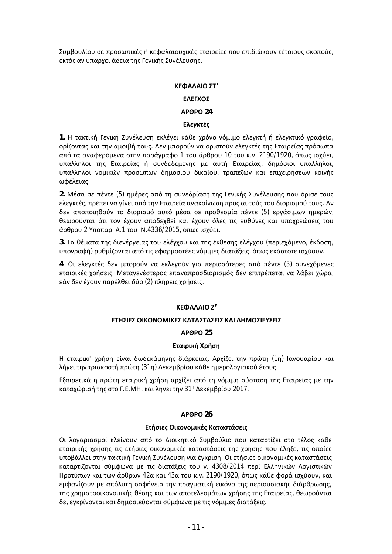Συμβουλίου σε προσωπικές ή κεφαλαιουχικές εταιρείες που επιδιώκουν τέτοιους σκοπούς, εκτός αν υπάρχει άδεια της Γενικής Συνέλευσης.

### **ȾȵɌȰȿȰȻɃɇɈ'**

### **ΕΛΕΓΧΟΣ**

# **ȰɆȺɆɃ 24**

### **Ελεγκτές**

1. Η τακτική Γενική Συνέλευση εκλέγει κάθε χρόνο νόμιμο ελεγκτή ή ελεγκτικό γραφείο, ορίζοντας και την αμοιβή τους. Δεν μπορούν να οριστούν ελεγκτές της Εταιρείας πρόσωπα από τα αναφερόμενα στην παράγραφο 1 του άρθρου 10 του κ.ν. 2190/1920, όπως ισχύει, υπάλληλοι της Εταιρείας ή συνδεδεμένης με αυτή Εταιρείας, δημόσιοι υπάλληλοι, υπάλληλοι νομικών προσώπων δημοσίου δικαίου, τραπεζών και επιχειρήσεων κοινής ωφέλειας.

2. Μέσα σε πέντε (5) ημέρες από τη συνεδρίαση της Γενικής Συνέλευσης που όρισε τους ελεγκτές, πρέπει να γίνει από την Εταιρεία ανακοίνωση προς αυτούς του διορισμού τους. Αν δεν αποποιηθούν το διορισμό αυτό μέσα σε προθεσμία πέντε (5) εργάσιμων ημερών, θεωρούνται ότι τον έχουν αποδεχθεί και έχουν όλες τις ευθύνες και υποχρεώσεις του άρθρου 2 Υποπαρ. Α.1 του Ν.4336/2015, όπως ισχύει.

3. Τα θέματα της διενέργειας του ελέγχου και της έκθεσης ελέγχου (περιεχόμενο, έκδοση, υπογραφή) ρυθμίζονται από τις εφαρμοστέες νόμιμες διατάξεις, όπως εκάστοτε ισχύουν.

4. Οι ελεγκτές δεν μπορούν να εκλεγούν για περισσότερες από πέντε (5) συνεχόμενες εταιρικές χρήσεις. Μεταγενέστερος επαναπροσδιορισμός δεν επιτρέπεται να λάβει χώρα, εάν δεν έχουν παρέλθει δύο (2) πλήρεις χρήσεις.

### **ȾȵɌȰȿȰȻɃȷ'**

### **ΕΤΗΣΙΕΣ ΟΙΚΟΝΟΜΙΚΕΣ ΚΑΤΑΣΤΑΣΕΙΣ ΚΑΙ ΔΗΜΟΣΙΕΥΣΕΙΣ**

### **ȰɆȺɆɃ 25**

### **ȵʏɲɿʌɿʃɼɍʌɼʍɻ**

Η εταιρική χρήση είναι δωδεκάμηνης διάρκειας, Αρχίζει την πρώτη (1η) Ιανουαρίου και λήγει την τριακοστή πρώτη (31η) Δεκεμβρίου κάθε ημερολογιακού έτους.

Εξαιρετικά η πρώτη εταιρική χρήση αρχίζει από τη νόμιμη σύσταση της Εταιρείας με την καταχώρισή της στο Γ.Ε.ΜΗ. και λήγει την 31<sup>η</sup> Δεκεμβρίου 2017.

### **ȰɆȺɆɃ 26**

### **Ετήσιες Οικονομικές Καταστάσεις**

Οι λογαριασμοί κλείνουν από το Διοικητικό Συμβούλιο που καταρτίζει στο τέλος κάθε εταιρικής χρήσης τις ετήσιες οικονομικές καταστάσεις της χρήσης που έληξε, τις οποίες υποβάλλει στην τακτική Γενική Συνέλευση για έγκριση. Οι ετήσιες οικονομικές καταστάσεις καταρτίζονται σύμφωνα με τις διατάξεις του ν. 4308/2014 περί Ελληνικών Λογιστικών Προτύπων και των άρθρων 42α και 43α του κ.ν. 2190/1920, όπως κάθε φορά ισχύουν, και εμφανίζουν με απόλυτη σαφήνεια την πραγματική εικόνα της περιουσιακής διάρθρωσης, της χρηματοοικονομικής θέσης και των αποτελεσμάτων χρήσης της Εταιρείας, θεωρούνται δε, εγκρίνονται και δημοσιεύονται σύμφωνα με τις νόμιμες διατάξεις.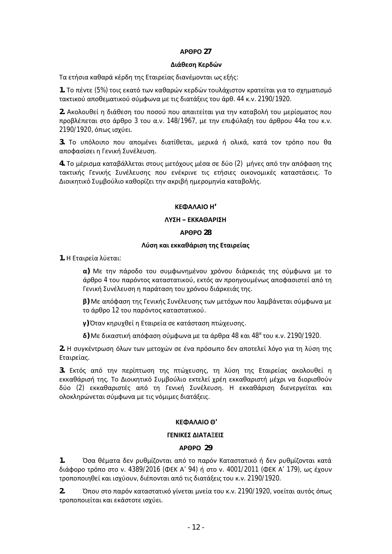### $\Delta$ ιάθεση Κερδών

Tα ετήσια καθαρά κέρδη της Εταιρείας διανέμονται ως εξής:

1. Το πέντε (5%) τοις εκατό των καθαρών κερδών τουλάχιστον κρατείται για το σχηματισμό τακτικού αποθεματικού σύμφωνα με τις διατάξεις του άρθ. 44 κ.ν. 2190/1920.

2. Aκολουθεί η διάθεση του ποσού που απαιτείται για την καταβολή του μερίσματος που προβλέπεται στο άρθρο 3 του α.ν. 148/1967, με την επιφύλαξη του άρθρου 44α του κ.ν. 2190/1920, όπως ισχύει.

3. Το υπόλοιπο που απομένει διατίθεται, μερικά ή ολικά, κατά τον τρόπο που θα αποφασίσει η Γενική Συνέλευση.

4. Το μέρισμα καταβάλλεται στους μετόχους μέσα σε δύο (2) μήνες από την απόφαση της τακτικής Γενικής Συνέλευσης που ενέκρινε τις ετήσιες οικονομικές καταστάσεις. Το Διοικητικό Συμβούλιο καθορίζει την ακριβή ημερομηνία καταβολής.

### **ȾȵɌȰȿȰȻɃȸ'**

### $\Lambda$ ΥΣΗ – ΕΚΚΑΘΑΡΙΣΗ

### **ȰɆȺɆɃ 28**

### **Λύση και εκκαθάριση της Εταιρείας**

1. Η Εταιρεία λύεται:

**α) Με την πάροδο του συμφωνημένου χρόνου διάρκειάς της σύμφωνα με το** άρθρο 4 του παρόντος καταστατικού, εκτός αν προηγουμένως αποφασιστεί από τη Γενική Συνέλευση η παράταση του χρόνου διάρκειάς της.

**β**) Με απόφαση της Γενικής Συνέλευσης των μετόχων που λαμβάνεται σύμφωνα με το άρθρο 12 του παρόντος καταστατικού.

**γ**) Όταν κηρυχθεί η Εταιρεία σε κατάσταση πτώχευσης.

 $\delta$ ) Με δικαστική απόφαση σύμφωνα με τα άρθρα 48 και 48<sup>α</sup> του κ.ν. 2190/1920.

2. Η συγκέντρωση όλων των μετοχών σε ένα πρόσωπο δεν αποτελεί λόγο για τη λύση της Εταιρείας.

3. Εκτός από την περίπτωση της πτώχευσης, τη λύση της Εταιρείας ακολουθεί η εκκαθάρισή της. Το Διοικητικό Συμβούλιο εκτελεί χρέη εκκαθαριστή μέχρι να διορισθούν δύο (2) εκκαθαριστές από τη Γενική Συνέλευση. Η εκκαθάριση διενεργείται και oλοκληρώνεται σύμφωνα με τις νόμιμες διατάξεις.

# **ȾȵɌȰȿȰȻɃȺ'**

### **ΓΕΝΙΚΕΣ ΔΙΑΤΑΞΕΙΣ**

### **ȰɆȺɆɃ 29**

1. **Όσα θέματα δεν ρυθμίζονται από το παρόν Καταστατικό ή δεν ρυθμίζονται κατά** διάφορο τρόπο στο ν. 4389/2016 (ΦΕΚ Α' 94) ή στο ν. 4001/2011 (ΦΕΚ Α' 179), ως έχουν τροποποιηθεί και ισχύουν, διέπονται από τις διατάξεις του κ.ν. 2190/1920.

2. Όπου στο παρόν καταστατικό γίνεται μνεία του κ.ν. 2190/1920, νοείται αυτός όπως τροποποιείται και εκάστοτε ισχύει.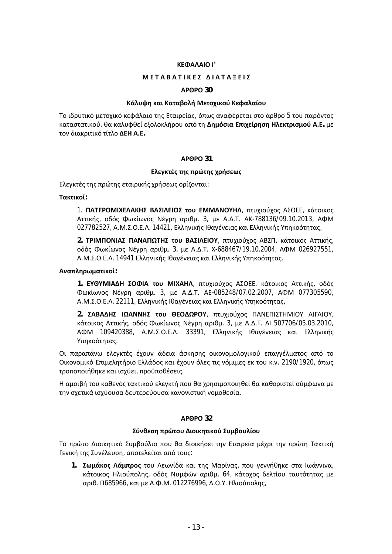#### **ȾȵɌȰȿȰȻɃȻ'**

#### **ɀȵɈȰȲȰɈȻȾȵɇ ȴȻȰɈȰɂȵȻɇ**

#### **ȰɆȺɆɃ 30**

#### Κάλυψη και Καταβολή Μετοχικού Κεφαλαίου

Το ιδρυτικό μετοχικό κεφάλαιο της Εταιρείας, όπως αναφέρεται στο άρθρο 5 του παρόντος καταστατικού, θα καλυφθεί εξολοκλήρου από τη Δημόσια Επιχείρηση Ηλεκτρισμού Α.Ε. με τον διακριτικό τίτλο ΔΕΗ Α.Ε.

#### **ȰɆȺɆɃ 31**

#### Eλεγκτές της πρώτης χρήσεως

Eλεγκτές της πρώτης εταιρικής χρήσεως ορίζονται:

### $T\alpha$ κτικοί:

1. ΠΑΤΕΡΟΜΙΧΕΛΑΚΗΣ ΒΑΣΙΛΕΙΟΣ του ΕΜΜΑΝΟΥΗΛ, πτυχιούχος ΑΣΟΕΕ, κάτοικος Aττικής, οδός Φωκίωνος Νέγρη αριθμ. 3, με Α.Δ.Τ. ΑΚ-788136/09.10.2013, ΑΦΜ 027782527, A.M.Σ.O.E.Λ. 14421, Ελληνικής Ιθαγένειας και Ελληνικής Υπηκοότητας,

**2. <b>ΤΡΙΜΠΟΝΙΑΣ ΠΑΝΑΓΙΩΤΗΣ ΤΟ**Υ ΒΑΣΙΛΕΙΟΥ, πτυχιούχος ΑΒΣΠ, κάτοικος Αττικής, oδός Φωκίωνος Νέγρη αριθμ. 3, με Α.Δ.Τ. X-688467/19.10.2004, ΑΦΜ 026927551, A.Μ.Σ.Ο.Ε.Λ. 14941 Ελληνικής Ιθανένειας και Ελληνικής Υπηκοότητας.

#### $A$ ναπληρωματικοί:

1. **ΕΥΘΥΜΙΑΔΗ ΣΟΦΙΑ του ΜΙΧΑΗΛ**, πτυχιούχος ΑΣΟΕΕ, κάτοικος Αττικής, οδός Φωκίωνος Νέγρη αριθμ. 3, με Α.Δ.Τ. ΑΕ-085248/07.02.2007, ΑΦΜ 077305590, A.Μ.Σ.Ο.Ε.Λ. 22111, Ελληνικής Ιθαγένειας και Ελληνικής Υπηκοότητας,

2. **ΣΑΒΑΔΗΣ ΙΩΑΝΝΗΣ του ΘΕΟΔΩΡΟΥ**, πτυχιούχος ΠΑΝΕΠΙΣΤΗΜΙΟΥ ΑΙΓΑΙΟΥ, κάτοικος Αττικής, οδός Φωκίωνος Νέγρη αριθμ. 3, με Α.Δ.Τ. ΑΙ 507706/05.03.2010, AΦΜ 109420388, A.M.Σ.O.E.Λ. 33391, Ελληνικής Ιθαγένειας και Ελληνικής Υπηκοότητας.

Οι παραπάνω ελεγκτές έχουν άδεια άσκησης οικονομολογικού επαγγέλματος από το Οικονομικό Επιμελητήριο Ελλάδος και έχουν όλες τις νόμιμες εκ του κ.ν. 2190/1920, όπως τροποποιήθηκε και ισχύει, προϋποθέσεις.

H αμοιβή του καθενός τακτικού ελεγκτή που θα χρησιμοποιηθεί θα καθοριστεί σύμφωνα με την σχετικά ισχύουσα δευτερεύουσα κανονιστική νομοθεσία.

#### **ȰɆȺɆɃ 32**

#### Σύνθεση πρώτου Διοικητικού Συμβουλίου

Το πρώτο Διοικητικό Συμβούλιο που θα διοικήσει την Εταιρεία μέχρι την πρώτη Τακτική Γενική της Συνέλευση, αποτελείται από τους:

1. **Σωμάκος Λάμπρος** του Λεωνίδα και της Μαρίνας, που γεννήθηκε στα Ιωάννινα, κάτοικος Ηλιούπολης, οδός Νυμφών αριθμ, 64, κάτοχος δελτίου ταυτότητας με αριθ. Π685966, και με Α.Φ.Μ. 012276996, Δ.Ο.Υ. Ηλιούπολης,